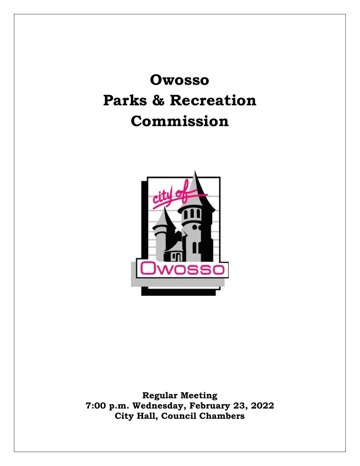**Owosso Parks & Recreation Commission**



**Regular Meeting 7:00 p.m. Wednesday, February 23, 2022 City Hall, Council Chambers**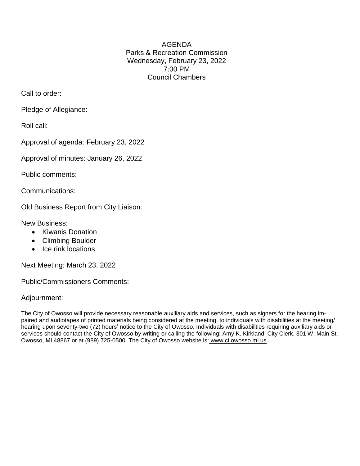AGENDA Parks & Recreation Commission Wednesday, February 23, 2022 7:00 PM Council Chambers

Call to order:

Pledge of Allegiance:

Roll call:

Approval of agenda: February 23, 2022

Approval of minutes: January 26, 2022

Public comments:

Communications:

Old Business Report from City Liaison:

New Business:

- Kiwanis Donation
- Climbing Boulder
- Ice rink locations

Next Meeting: March 23, 2022

Public/Commissioners Comments:

Adjournment:

The City of Owosso will provide necessary reasonable auxiliary aids and services, such as signers for the hearing impaired and audiotapes of printed materials being considered at the meeting, to individuals with disabilities at the meeting/ hearing upon seventy-two (72) hours' notice to the City of Owosso. Individuals with disabilities requiring auxiliary aids or services should contact the City of Owosso by writing or calling the following: Amy K. Kirkland, City Clerk, 301 W. Main St, Owosso, MI 48867 or at (989) 725-0500. The City of Owosso website is: [www.ci.owosso.mi.us](http://www.ci.owosso.mi.us/)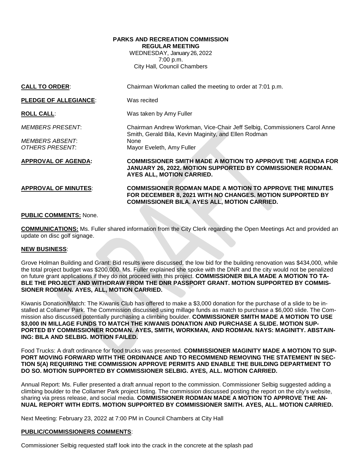### **PARKS AND RECREATION COMMISSION REGULAR MEETING** WEDNESDAY, January 26, 2022

7:00 p.m. City Hall, Council Chambers

| <b>CALL TO ORDER:</b>        | Chairman Workman called the meeting to order at 7:01 p.m.                                                                                                                    |
|------------------------------|------------------------------------------------------------------------------------------------------------------------------------------------------------------------------|
| <b>PLEDGE OF ALLEGIANCE:</b> | Was recited                                                                                                                                                                  |
| <b>ROLL CALL:</b>            | Was taken by Amy Fuller                                                                                                                                                      |
| <i>MEMBERS PRESENT:</i>      | Chairman Andrew Workman, Vice-Chair Jeff Selbig, Commissioners Carol Anne<br>Smith, Gerald Bila, Kevin Maginity, and Ellen Rodman                                            |
| <b>MEMBERS ABSENT:</b>       | None                                                                                                                                                                         |
| OTHERS PRESENT:              | Mayor Eveleth, Amy Fuller                                                                                                                                                    |
| <b>APPROVAL OF AGENDA:</b>   | <b>COMMISSIONER SMITH MADE A MOTION TO APPROVE THE AGENDA FOR</b><br><b>JANUARY 26, 2022. MOTION SUPPORTED BY COMMISSIONER RODMAN.</b><br>AYES ALL, MOTION CARRIED.          |
| <b>APPROVAL OF MINUTES:</b>  | COMMISSIONER RODMAN MADE A MOTION TO APPROVE THE MINUTES<br>FOR DECEMBER 8, 2021 WITH NO CHANGES. MOTION SUPPORTED BY<br><b>COMMISSIONER BILA. AYES ALL, MOTION CARRIED.</b> |

### **PUBLIC COMMENTS:** None.

**COMMUNICATIONS:** Ms. Fuller shared information from the City Clerk regarding the Open Meetings Act and provided an update on disc golf signage.

#### **NEW BUSINESS**:

Grove Holman Building and Grant: Bid results were discussed, the low bid for the building renovation was \$434,000, while the total project budget was \$200,000. Ms. Fuller explained she spoke with the DNR and the city would not be penalized on future grant applications if they do not proceed with this project. **COMMISSIONER BILA MADE A MOTION TO TA-BLE THE PROJECT AND WITHDRAW FROM THE DNR PASSPORT GRANT. MOTION SUPPORTED BY COMMIS-SIONER RODMAN. AYES, ALL, MOTION CARRIED.**

Kiwanis Donation/Match: The Kiwanis Club has offered to make a \$3,000 donation for the purchase of a slide to be installed at Collamer Park. The Commission discussed using millage funds as match to purchase a \$6,000 slide. The Commission also discussed potentially purchasing a climbing boulder. **COMMISSIONER SMITH MADE A MOTION TO USE \$3,000 IN MILLAGE FUNDS TO MATCH THE KIWANIS DONATION AND PURCHASE A SLIDE. MOTION SUP-PORTED BY COMMISSIONER RODMAN. AYES, SMITH, WORKMAN, AND RODMAN. NAYS: MAGINITY. ABSTAIN-ING: BILA AND SELBIG. MOTION FAILED.**

Food Trucks: A draft ordinance for food trucks was presented. **COMMISSIONER MAGINITY MADE A MOTION TO SUP-PORT MOVING FORWARD WITH THE ORDINANCE AND TO RECOMMEND REMOVING THE STATEMENT IN SEC-TION 5(A) REQUIRING THE COMMISSION APPROVE PERMITS AND ENABLE THE BUILDING DEPARTMENT TO DO SO. MOTION SUPPORTED BY COMMISSIONER SELBIG. AYES, ALL. MOTION CARRIED.**

Annual Report: Ms. Fuller presented a draft annual report to the commission. Commissioner Selbig suggested adding a climbing boulder to the Collamer Park project listing. The commission discussed posting the report on the city's website, sharing via press release, and social media. **COMMISSIONER RODMAN MADE A MOTION TO APPROVE THE AN-NUAL REPORT WITH EDITS. MOTION SUPPORTED BY COMMISSIONER SMITH. AYES, ALL. MOTION CARRIED.**

Next Meeting: February 23, 2022 at 7:00 PM in Council Chambers at City Hall

#### **PUBLIC/COMMISSIONERS COMMENTS**:

Commissioner Selbig requested staff look into the crack in the concrete at the splash pad